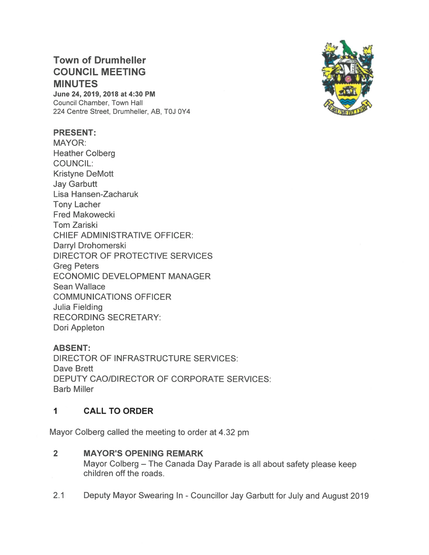# Town of Drumheller COUNCIL MEETING MINUTES

June 24, 2019, 2018 at 4:30 PM Council Chamber, Town Hall 224 Centre Street, Drumheller, AB, TOJ OY4

### PRESENT:

MAYOR: Heather Colberg COUNCIL: Kristyne DeMott Jay Garbutt Lisa Hansen-Zacharuk Tony Lacher Fred Makowecki Tom Zariski CHIEF ADMINISTRATIVE OFFICER: Darryl Drohomerski DIRECTOR OF PROTECTIVE SERVICES Greg Peters ECONOMIC DEVELOPMENT MANAGER Sean Wallace COMMUNICATIONS OFFICER Julia Fielding RECORDING SECRETARY: Dori Appleton

### ABSENT:

DIRECTOR OF INFRASTRUCTURE SERVICES: Dave Brett DEPUTY CAO/DIRECTOR OF CORPORATE SERVICES: Barb Miller

### 1 CALL TO ORDER

Mayor Colberg called the meeting to order at 4.32 pm

### 2 MAYOR'S OPENING REMARK

Mayor Colberg — The Canada Day Parade is all about safety please keep children off the roads.

2.1 Deputy Mayor Swearing In - Councillor Jay Garbutt for July and August 2019

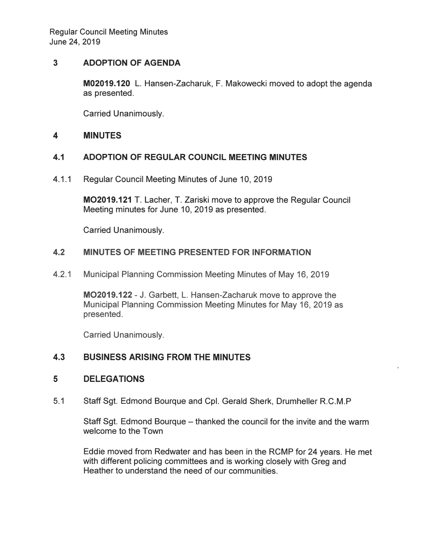Regular Council Meeting Minutes June 24, 2019

### 3 ADOPTION OF AGENDA

**M02019.120** L. Hansen-Zacharuk, F. Makowecki moved to adopt the agenda as presented.

Carried Unanimously.

#### $\overline{\mathbf{4}}$ **MINUTES**

### 4.1 ADOPTION OF REGULAR COUNCIL MEETING MINUTES

4.1.1 Regular Council Meeting Minutes of June 10, 2019

MO2019.121 T. Lacher, T. Zariski move to approve the Regular Council Meeting minutes for June 10, 2019 as presented.

Carried Unanimously.

### 4.2 MINUTES OF MEETING PRESENTED FOR INFORMATION

4.2.1 Municipal Planning Commission Meeting Minutes of May 16, 2019

MO2019.122 — J. Garbett, L. Hansen-Zacharuk move to approve the Municipal Planning Commission Meeting Minutes for May 16, 2019 as presented.

Carried Unanimously.

#### $4.3$ **BUSINESS ARISING FROM THE MINUTES**

#### 5 **DELEGATIONS**

Staff Sgt. Edmond Bourque and Cpl. Gerald Sherk, Drumheller R.C.M.P  $5.1$ 

> Staff Sgt. Edmond Bourgue – thanked the council for the invite and the warm welcome to the Town

Eddie moved from Redwater and has been in the RCMP for 24 years. He met with different policing committees and is working closely with Greg and Heather to understand the need of our communities.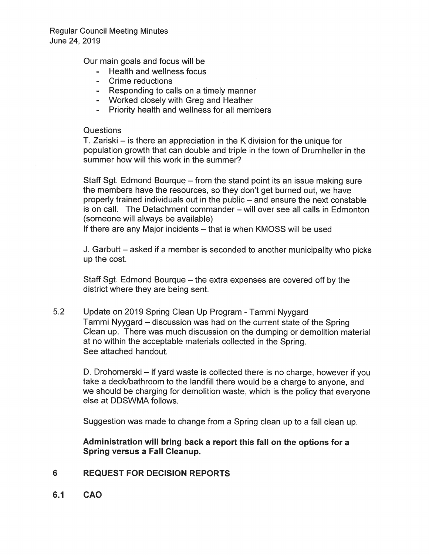Our main goals and focus will be

- Health and wellness focus
- **Crime reductions**
- Responding to calls on a timely manner
- Worked closely with Greg and Heather
- Priority health and wellness for all members

### Questions

T. Zariski  $-$  is there an appreciation in the K division for the unique for population growth that can double and triple in the town of Drumheller in the summer how will this work in the summer?

Staff Sgt. Edmond Bourque – from the stand point its an issue making sure the members have the resources, so they don't get burned out, we have properly trained individuals out in the public - and ensure the next constable is on call. The Detachment commander - will over see all calls in Edmonton (someone will always be available)

If there are any Major incidents - that is when KMOSS will be used

J. Garbutt – asked if a member is seconded to another municipality who picks up the cost.

Staff Sgt. Edmond Bourque – the extra expenses are covered off by the district where they are being sent.

 $5.2$ Update on 2019 Spring Clean Up Program - Tammi Nyygard Tammi Nyygard – discussion was had on the current state of the Spring Clean up. There was much discussion on the dumping or demolition material at no within the acceptable materials collected in the Spring. See attached handout.

D. Drohomerski – if yard waste is collected there is no charge, however if you take a deck/bathroom to the landfill there would be a charge to anyone, and we should be charging for demolition waste, which is the policy that everyone else at DDSWMA follows.

Suggestion was made to change from a Spring clean up to a fall clean up.

### Administration will bring back a report this fall on the options for a Spring versus a Fall Cleanup.

#### 6 **REQUEST FOR DECISION REPORTS**

 $6.1$ CAO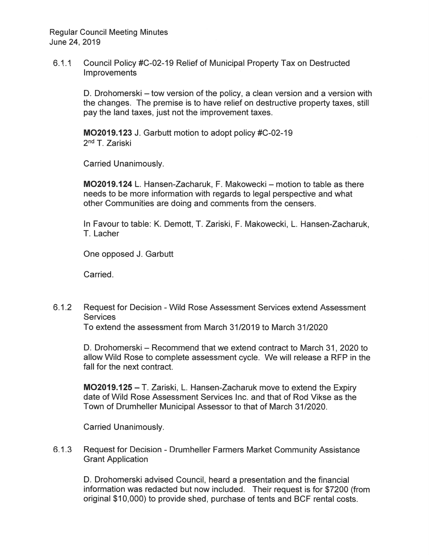**Regular Council Meeting Minutes** June 24, 2019

 $6.1.1$ Council Policy #C-02-19 Relief of Municipal Property Tax on Destructed **Improvements** 

> D. Drohomerski – tow version of the policy, a clean version and a version with the changes. The premise is to have relief on destructive property taxes, still pay the land taxes, just not the improvement taxes.

MO2019.123 J. Garbutt motion to adopt policy #C-02-19 2<sup>nd</sup> T. Zariski

**Carried Unanimously.** 

MO2019.124 L. Hansen-Zacharuk, F. Makowecki – motion to table as there needs to be more information with regards to legal perspective and what other Communities are doing and comments from the censers.

In Favour to table: K. Demott, T. Zariski, F. Makowecki, L. Hansen-Zacharuk, T. Lacher

One opposed J. Garbutt

Carried.

 $6.1.2$ Request for Decision - Wild Rose Assessment Services extend Assessment **Services** 

To extend the assessment from March 31/2019 to March 31/2020

D. Drohomerski – Recommend that we extend contract to March 31, 2020 to allow Wild Rose to complete assessment cycle. We will release a RFP in the fall for the next contract.

**MO2019.125** – T. Zariski, L. Hansen-Zacharuk move to extend the Expiry date of Wild Rose Assessment Services Inc. and that of Rod Vikse as the Town of Drumheller Municipal Assessor to that of March 31/2020.

**Carried Unanimously.** 

 $6.1.3$ Request for Decision - Drumheller Farmers Market Community Assistance **Grant Application** 

D. Drohomerski advised Council, heard a presentation and the financial information was redacted but now included. Their request is for \$7200 (from original \$10,000) to provide shed, purchase of tents and BCF rental costs.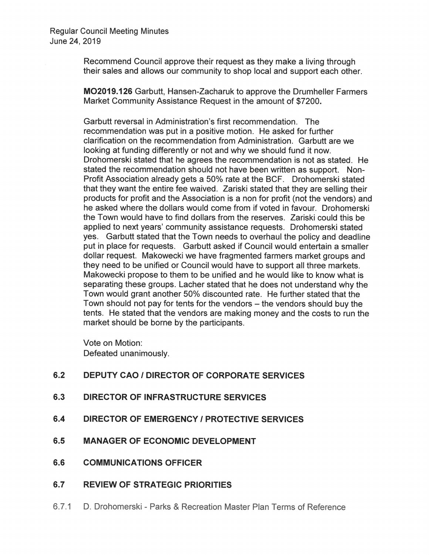Recommend Council approve their request as they make a living through their sales and allows our community to shop local and support each other.

**MO2019.126** Garbutt, Hansen-Zacharuk to approve the Drumheller Farmers Market Community Assistance Request in the amount of \$7200.

Garbutt reversal in Administration's first recommendation. The recommendation was put in a positive motion. He asked for further clarification on the recommendation from Administration. Garbutt are we looking at funding differently or not and why we should fund it now. Drohomerski stated that he agrees the recommendation is not as stated. He stated the recommendation should not have been written as support. Non-Profit Association already gets a 50% rate at the BCF. Drohomerski stated that they want the entire fee waived. Zariski stated that they are selling their products for profit and the Association is a non for profit (not the vendors) and he asked where the dollars would come from if voted in favour. Drohomerski the Town would have to find dollars from the reserves. Zariski could this be applied to next years' community assistance requests. Drohomerski stated ves. Garbutt stated that the Town needs to overhaul the policy and deadline put in place for requests. Garbutt asked if Council would entertain a smaller dollar request. Makowecki we have fragmented farmers market groups and they need to be unified or Council would have to support all three markets. Makowecki propose to them to be unified and he would like to know what is separating these groups. Lacher stated that he does not understand why the Town would grant another 50% discounted rate. He further stated that the Town should not pay for tents for the vendors - the vendors should buy the tents. He stated that the vendors are making money and the costs to run the market should be borne by the participants.

Vote on Motion: Defeated unanimously.

| 6.2 | <b>DEPUTY CAO / DIRECTOR OF CORPORATE SERVICES</b> |
|-----|----------------------------------------------------|
| 6.3 | <b>DIRECTOR OF INFRASTRUCTURE SERVICES</b>         |
| 6.4 | <b>DIRECTOR OF EMERGENCY / PROTECTIVE SERVICES</b> |
| 6.5 | <b>MANAGER OF ECONOMIC DEVELOPMENT</b>             |
| 6.6 | <b>COMMUNICATIONS OFFICER</b>                      |
| 6.7 | <b>REVIEW OF STRATEGIC PRIORITIES</b>              |

6.7.1 D. Drohomerski - Parks & Recreation Master Plan Terms of Reference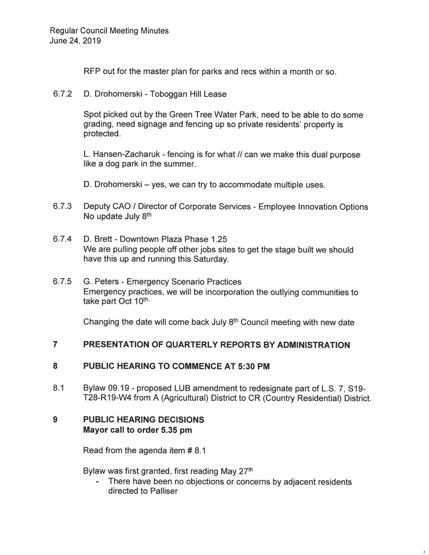RFP out for the master plan for parks and recs within a month or so.

6.7.2 D. Drohomerski - Toboggan Hill Lease

Spot picked out by the Green Tree Water Park, need to be able to do some grading, need signage and fencing up so private residents' property is protected.

L. Hansen-Zacharuk - fencing is for what // can we make this dual purpose like a dog park in the summer.

D. Drohomerski – yes, we can try to accommodate multiple uses.

- 6.7.3 Deputy CAO / Director of Corporate Services Employee Innovation Options No update July 8<sup>th</sup>
- 6.7.4 D. Brett Downtown Plaza Phase 1.25 We are pulling people off other jobs sites to get the stage built we should have this up and running this Saturday.
- 6.7.5 G. Peters Emergency Scenario Practices Emergency practices, we will be incorporation the outlying communities to take part Oct 10th.

Changing the date will come back July 8<sup>th</sup> Council meeting with new date

# 7 PRESENTATION OF QUARTERLY REPORTS BY ADMINISTRATION

### 8 PUBLIC HEARING TO COMMENCE AT 5:30 PM

8.1 Bylaw 09.19 - proposed LUB amendment to redesignate part of L.S. 7, S19-T28-R19-W4 from A (Agricultural) District to CR (Country Residential) District.

# 9 PUBLIC HEARING DECISIONS Mayor call to order 5.35 pm

Read from the agenda item # 8.1

Bylaw was first granted, first reading May 27<sup>th</sup>

There have been no objections or concerns by adjacent residents directed to Palliser